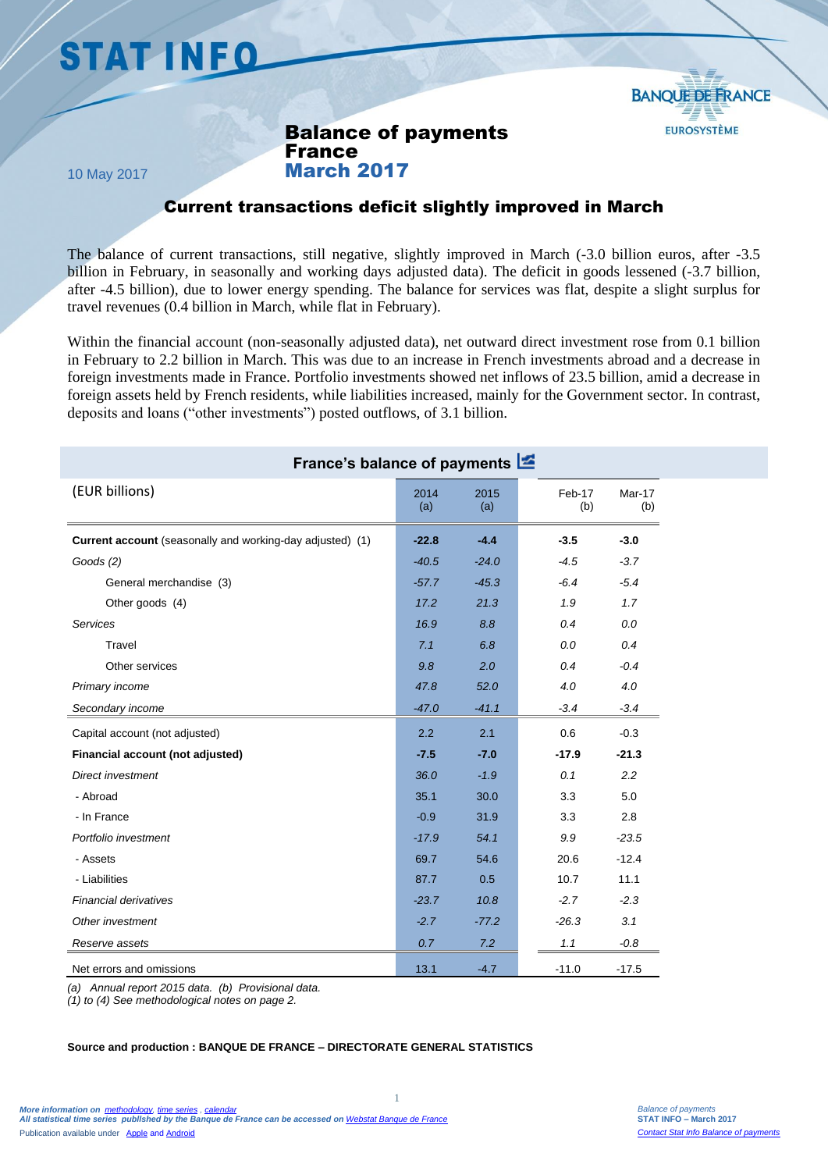# **STAT INFO**



Balance of payments France March 2017

10 May 2017

## Current transactions deficit slightly improved in March

The balance of current transactions, still negative, slightly improved in March (-3.0 billion euros, after -3.5 billion in February, in seasonally and working days adjusted data). The deficit in goods lessened (-3.7 billion, after -4.5 billion), due to lower energy spending. The balance for services was flat, despite a slight surplus for travel revenues (0.4 billion in March, while flat in February).

Within the financial account (non-seasonally adjusted data), net outward direct investment rose from 0.1 billion in February to 2.2 billion in March. This was due to an increase in French investments abroad and a decrease in foreign investments made in France. Portfolio investments showed net inflows of 23.5 billion, amid a decrease in foreign assets held by French residents, while liabilities increased, mainly for the Government sector. In contrast, deposits and loans ("other investments") posted outflows, of 3.1 billion.

| France's balance of payments                                     |             |             |               |               |
|------------------------------------------------------------------|-------------|-------------|---------------|---------------|
| (EUR billions)                                                   | 2014<br>(a) | 2015<br>(a) | Feb-17<br>(b) | Mar-17<br>(b) |
| <b>Current account</b> (seasonally and working-day adjusted) (1) | $-22.8$     | $-4.4$      | $-3.5$        | $-3.0$        |
| Goods $(2)$                                                      | $-40.5$     | $-24.0$     | $-4.5$        | $-3.7$        |
| General merchandise (3)                                          | $-57.7$     | $-45.3$     | $-6.4$        | $-5.4$        |
| Other goods (4)                                                  | 17.2        | 21.3        | $1.9$         | 1.7           |
| Services                                                         | 16.9        | 8.8         | 0.4           | 0.0           |
| Travel                                                           | 7.1         | 6.8         | 0.0           | 0.4           |
| Other services                                                   | 9.8         | 2.0         | 0.4           | $-0.4$        |
| Primary income                                                   | 47.8        | 52.0        | 4.0           | 4.0           |
| Secondary income                                                 | $-47.0$     | $-41.1$     | $-3.4$        | $-3.4$        |
| Capital account (not adjusted)                                   | 2.2         | 2.1         | 0.6           | $-0.3$        |
| Financial account (not adjusted)                                 | $-7.5$      | $-7.0$      | $-17.9$       | $-21.3$       |
| Direct investment                                                | 36.0        | $-1.9$      | 0.1           | 2.2           |
| - Abroad                                                         | 35.1        | 30.0        | 3.3           | 5.0           |
| - In France                                                      | $-0.9$      | 31.9        | 3.3           | 2.8           |
| Portfolio investment                                             | $-17.9$     | 54.1        | 9.9           | $-23.5$       |
| - Assets                                                         | 69.7        | 54.6        | 20.6          | $-12.4$       |
| - Liabilities                                                    | 87.7        | 0.5         | 10.7          | 11.1          |
| <b>Financial derivatives</b>                                     | $-23.7$     | 10.8        | $-2.7$        | $-2.3$        |
| Other investment                                                 | $-2.7$      | $-77.2$     | $-26.3$       | 3.1           |
| Reserve assets                                                   | 0.7         | 7.2         | 1.1           | $-0.8$        |
| Net errors and omissions                                         | 13.1        | $-4.7$      | $-11.0$       | $-17.5$       |

1

*(a) Annual report 2015 data. (b) Provisional data.* 

*(1) to (4) See methodological notes on page 2.*

#### **Source and production : BANQUE DE FRANCE – DIRECTORATE GENERAL STATISTICS**